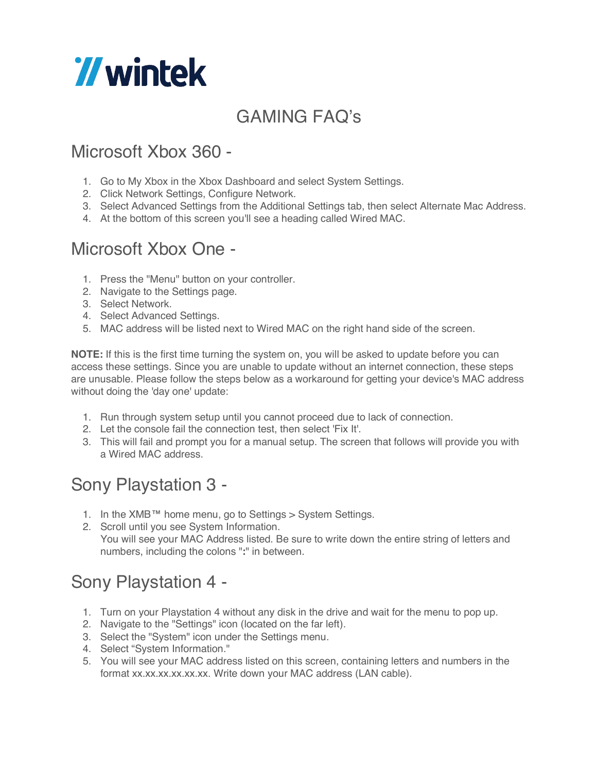# *Wintek*

## GAMING FAQ's

### Microsoft Xbox 360 -

- 1. Go to My Xbox in the Xbox Dashboard and select System Settings.
- 2. Click Network Settings, Configure Network.
- 3. Select Advanced Settings from the Additional Settings tab, then select Alternate Mac Address.
- 4. At the bottom of this screen you'll see a heading called Wired MAC.

### Microsoft Xbox One -

- 1. Press the "Menu" button on your controller.
- 2. Navigate to the Settings page.
- 3. Select Network.
- 4. Select Advanced Settings.
- 5. MAC address will be listed next to Wired MAC on the right hand side of the screen.

**NOTE:** If this is the first time turning the system on, you will be asked to update before you can access these settings. Since you are unable to update without an internet connection, these steps are unusable. Please follow the steps below as a workaround for getting your device's MAC address without doing the 'day one' update:

- 1. Run through system setup until you cannot proceed due to lack of connection.
- 2. Let the console fail the connection test, then select 'Fix It'.
- 3. This will fail and prompt you for a manual setup. The screen that follows will provide you with a Wired MAC address.

#### Sony Playstation 3 -

- 1. In the XMB™ home menu, go to Settings > System Settings.
- 2. Scroll until you see System Information. You will see your MAC Address listed. Be sure to write down the entire string of letters and numbers, including the colons "**:**" in between.

#### Sony Playstation 4 -

- 1. Turn on your Playstation 4 without any disk in the drive and wait for the menu to pop up.
- 2. Navigate to the "Settings" icon (located on the far left).
- 3. Select the "System" icon under the Settings menu.
- 4. Select "System Information."
- 5. You will see your MAC address listed on this screen, containing letters and numbers in the format xx.xx.xx.xx.xx.xx. Write down your MAC address (LAN cable).